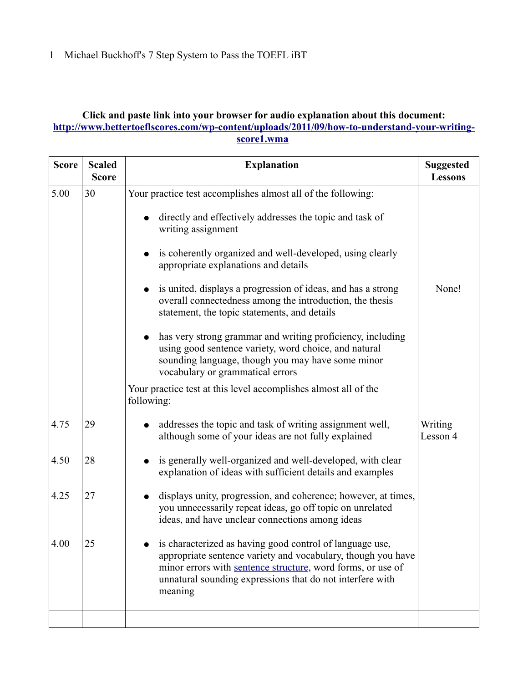## **Click and paste link into your browser for audio explanation about this document: [http://www.bettertoeflscores.com/wp-content/uploads/2011/09/how-to-understand-your-writing](http://www.bettertoeflscores.com/wp-content/uploads/2011/09/how-to-understand-your-writing-score1.wma)[score1.wma](http://www.bettertoeflscores.com/wp-content/uploads/2011/09/how-to-understand-your-writing-score1.wma)**

| <b>Score</b> | <b>Scaled</b><br><b>Score</b> | <b>Explanation</b>                                                                                                                                                                                                                                                                                                                                                                                                                                                                                                                                                                                                                                | <b>Suggested</b><br><b>Lessons</b> |
|--------------|-------------------------------|---------------------------------------------------------------------------------------------------------------------------------------------------------------------------------------------------------------------------------------------------------------------------------------------------------------------------------------------------------------------------------------------------------------------------------------------------------------------------------------------------------------------------------------------------------------------------------------------------------------------------------------------------|------------------------------------|
| 5.00         | 30                            | Your practice test accomplishes almost all of the following:<br>directly and effectively addresses the topic and task of<br>writing assignment<br>is coherently organized and well-developed, using clearly<br>appropriate explanations and details<br>• is united, displays a progression of ideas, and has a strong<br>overall connectedness among the introduction, the thesis<br>statement, the topic statements, and details<br>has very strong grammar and writing proficiency, including<br>using good sentence variety, word choice, and natural<br>sounding language, though you may have some minor<br>vocabulary or grammatical errors | None!                              |
|              |                               | Your practice test at this level accomplishes almost all of the<br>following:                                                                                                                                                                                                                                                                                                                                                                                                                                                                                                                                                                     |                                    |
| 4.75         | 29                            | addresses the topic and task of writing assignment well,<br>although some of your ideas are not fully explained                                                                                                                                                                                                                                                                                                                                                                                                                                                                                                                                   | Writing<br>Lesson 4                |
| 4.50         | 28                            | is generally well-organized and well-developed, with clear<br>explanation of ideas with sufficient details and examples                                                                                                                                                                                                                                                                                                                                                                                                                                                                                                                           |                                    |
| 4.25         | 27                            | displays unity, progression, and coherence; however, at times,<br>you unnecessarily repeat ideas, go off topic on unrelated<br>ideas, and have unclear connections among ideas                                                                                                                                                                                                                                                                                                                                                                                                                                                                    |                                    |
| 4.00         | 25                            | is characterized as having good control of language use,<br>appropriate sentence variety and vocabulary, though you have<br>minor errors with sentence structure, word forms, or use of<br>unnatural sounding expressions that do not interfere with<br>meaning                                                                                                                                                                                                                                                                                                                                                                                   |                                    |
|              |                               |                                                                                                                                                                                                                                                                                                                                                                                                                                                                                                                                                                                                                                                   |                                    |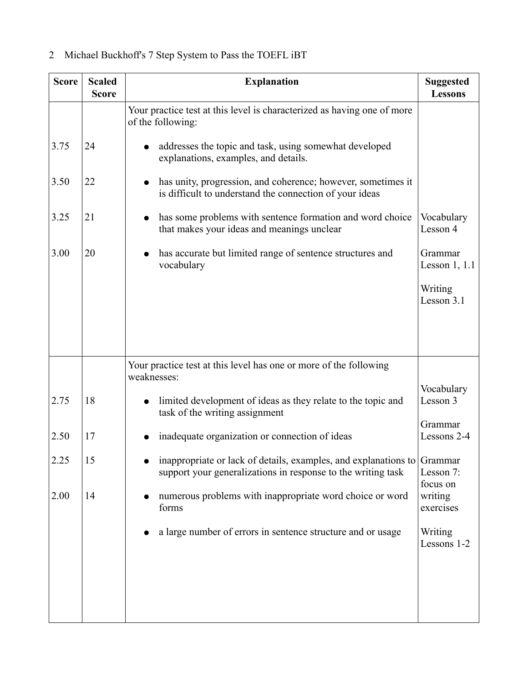| <b>Score</b> | <b>Scaled</b><br><b>Score</b> | <b>Explanation</b>                                                                                                                      | <b>Suggested</b><br><b>Lessons</b> |
|--------------|-------------------------------|-----------------------------------------------------------------------------------------------------------------------------------------|------------------------------------|
|              |                               | Your practice test at this level is characterized as having one of more<br>of the following:                                            |                                    |
| 3.75         | 24                            | addresses the topic and task, using somewhat developed<br>explanations, examples, and details.                                          |                                    |
| 3.50         | 22                            | has unity, progression, and coherence; however, sometimes it<br>is difficult to understand the connection of your ideas                 |                                    |
| 3.25         | 21                            | has some problems with sentence formation and word choice<br>that makes your ideas and meanings unclear                                 | Vocabulary<br>Lesson 4             |
| 3.00         | 20                            | has accurate but limited range of sentence structures and<br>vocabulary                                                                 | Grammar<br>Lesson $1, 1.1$         |
|              |                               |                                                                                                                                         | Writing<br>Lesson 3.1              |
|              |                               |                                                                                                                                         |                                    |
|              |                               | Your practice test at this level has one or more of the following<br>weaknesses:                                                        |                                    |
| 2.75         | 18                            | limited development of ideas as they relate to the topic and<br>task of the writing assignment                                          | Vocabulary<br>Lesson 3             |
| 2.50         | 17                            | inadequate organization or connection of ideas                                                                                          | Grammar<br>Lessons 2-4             |
| 2.25         | 15                            | inappropriate or lack of details, examples, and explanations to Grammar<br>support your generalizations in response to the writing task | Lesson 7:<br>focus on              |
| 2.00         | 14                            | numerous problems with inappropriate word choice or word<br>forms                                                                       | writing<br>exercises               |
|              |                               | a large number of errors in sentence structure and or usage                                                                             | Writing<br>Lessons 1-2             |
|              |                               |                                                                                                                                         |                                    |
|              |                               |                                                                                                                                         |                                    |

## 2 Michael Buckhoff's 7 Step System to Pass the TOEFL iBT